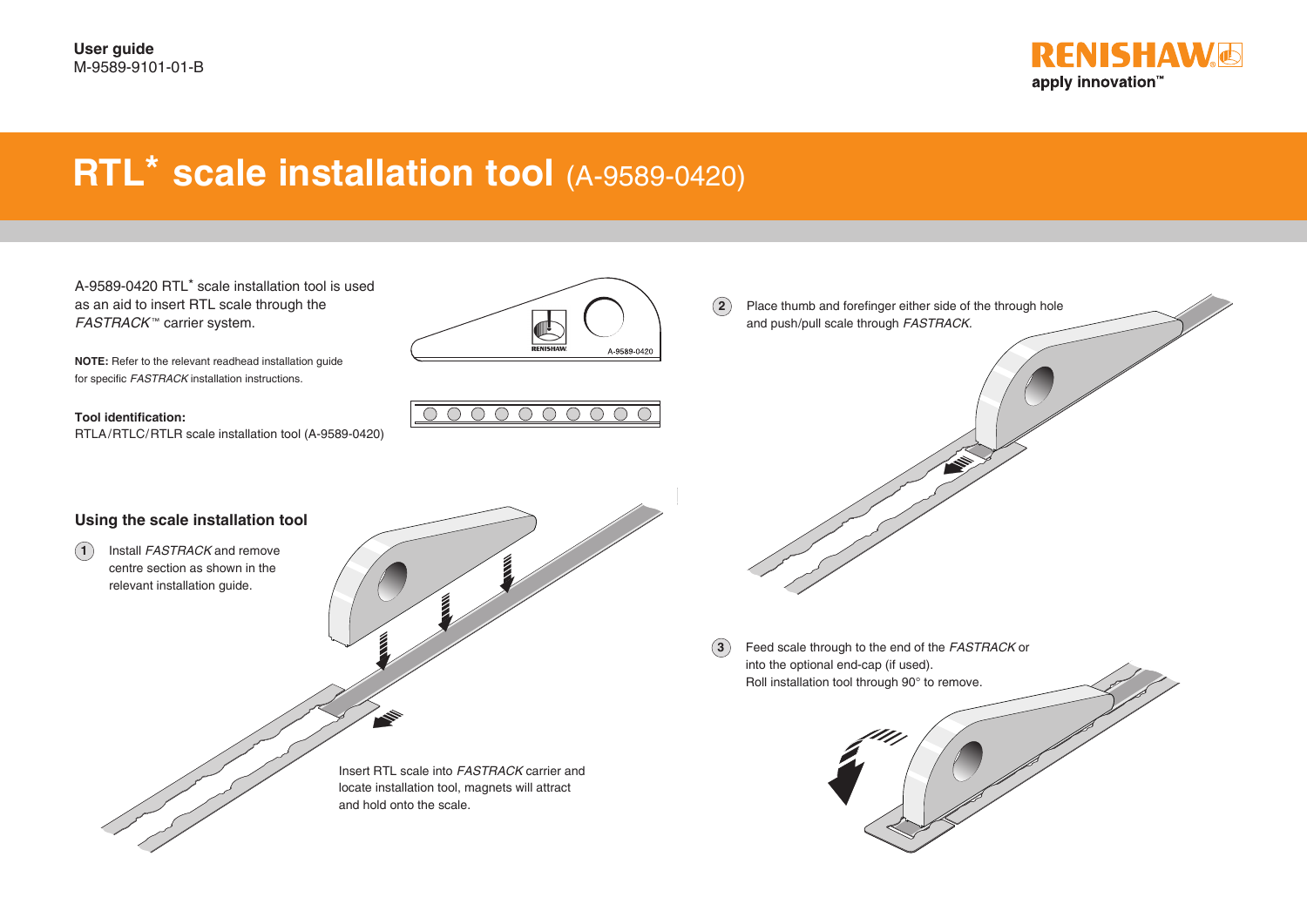

## **RTL\* scale installation tool (A-9589-0420)**